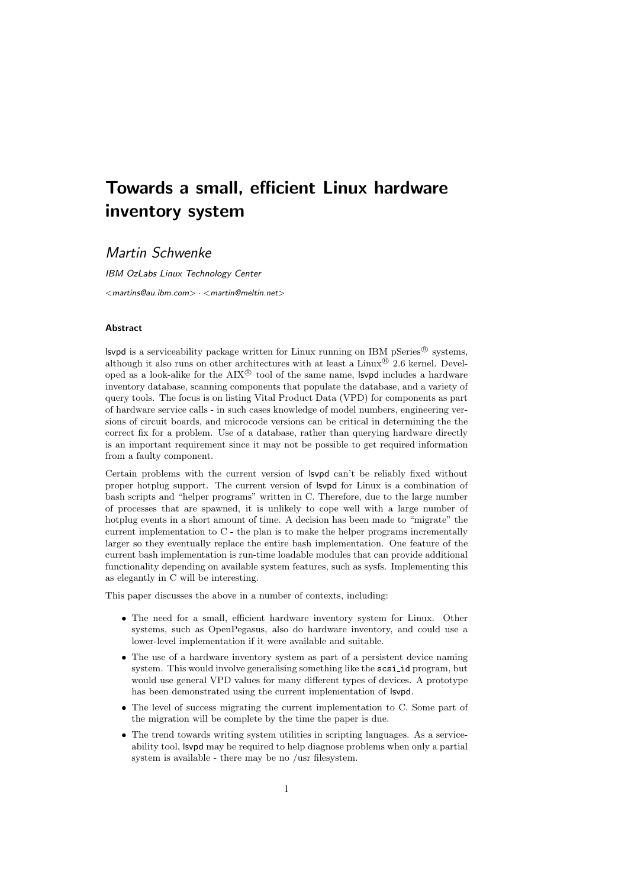# Towards a small, efficient Linux hardware inventory system

## Martin Schwenke

IBM OzLabs Linux Technology Center  $<$  martins@au.ibm.com $>$   $\cdot$   $<$  martin@meltin.net $>$ 

#### Abstract

**svpd** is a serviceability package written for Linux running on IBM pSeries<sup>®</sup> systems, although it also runs on other architectures with at least a Linux  $\mathbb{D}$  2.6 kernel. Developed as a look-alike for the  $\text{AIX}^{\textcircled{E}}$  tool of the same name, **svpd** includes a hardware inventory database, scanning components that populate the database, and a variety of query tools. The focus is on listing Vital Product Data (VPD) for components as part of hardware service calls - in such cases knowledge of model numbers, engineering versions of circuit boards, and microcode versions can be critical in determining the the correct fix for a problem. Use of a database, rather than querying hardware directly is an important requirement since it may not be possible to get required information from a faulty component.

Certain problems with the current version of lsvpd can't be reliably fixed without proper hotplug support. The current version of lsvpd for Linux is a combination of bash scripts and "helper programs" written in C. Therefore, due to the large number of processes that are spawned, it is unlikely to cope well with a large number of hotplug events in a short amount of time. A decision has been made to "migrate" the current implementation to C - the plan is to make the helper programs incrementally larger so they eventually replace the entire bash implementation. One feature of the current bash implementation is run-time loadable modules that can provide additional functionality depending on available system features, such as sysfs. Implementing this as elegantly in C will be interesting.

This paper discusses the above in a number of contexts, including:

- The need for a small, efficient hardware inventory system for Linux. Other systems, such as OpenPegasus, also do hardware inventory, and could use a lower-level implementation if it were available and suitable.
- The use of a hardware inventory system as part of a persistent device naming system. This would involve generalising something like the scsi-id program, but would use general VPD values for many different types of devices. A prototype has been demonstrated using the current implementation of lsvpd.
- The level of success migrating the current implementation to C. Some part of the migration will be complete by the time the paper is due.
- The trend towards writing system utilities in scripting languages. As a serviceability tool, lsvpd may be required to help diagnose problems when only a partial system is available - there may be no /usr filesystem.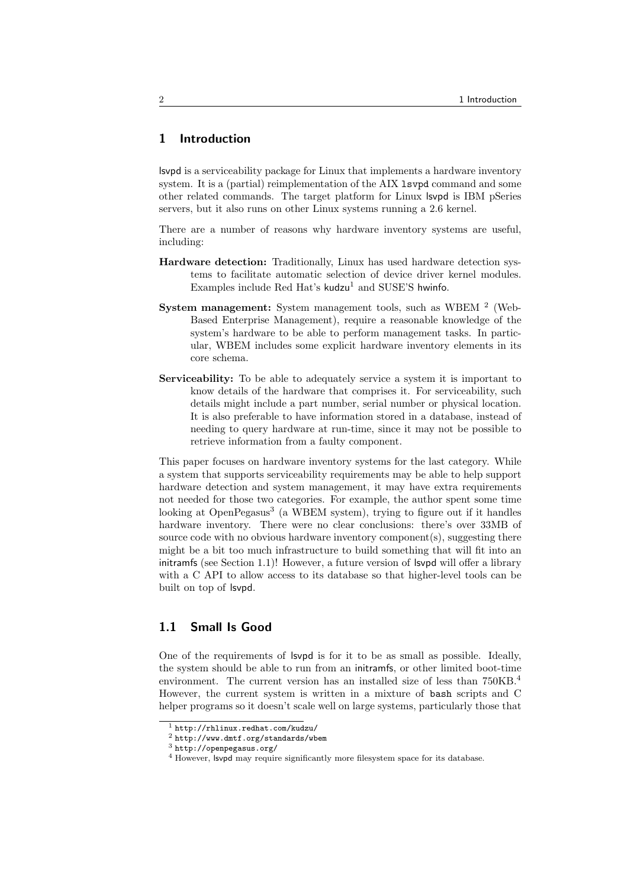### 1 Introduction

lsvpd is a serviceability package for Linux that implements a hardware inventory system. It is a (partial) reimplementation of the AIX lsvpd command and some other related commands. The target platform for Linux lsvpd is IBM pSeries servers, but it also runs on other Linux systems running a 2.6 kernel.

There are a number of reasons why hardware inventory systems are useful, including:

- Hardware detection: Traditionally, Linux has used hardware detection systems to facilitate automatic selection of device driver kernel modules. Examples include Red Hat's  $kudzu<sup>1</sup>$  and SUSE'S hwinfo.
- System management: System management tools, such as WBEM  $^2$  (Web-Based Enterprise Management), require a reasonable knowledge of the system's hardware to be able to perform management tasks. In particular, WBEM includes some explicit hardware inventory elements in its core schema.
- Serviceability: To be able to adequately service a system it is important to know details of the hardware that comprises it. For serviceability, such details might include a part number, serial number or physical location. It is also preferable to have information stored in a database, instead of needing to query hardware at run-time, since it may not be possible to retrieve information from a faulty component.

This paper focuses on hardware inventory systems for the last category. While a system that supports serviceability requirements may be able to help support hardware detection and system management, it may have extra requirements not needed for those two categories. For example, the author spent some time looking at OpenPegasus<sup>3</sup> (a WBEM system), trying to figure out if it handles hardware inventory. There were no clear conclusions: there's over 33MB of source code with no obvious hardware inventory component(s), suggesting there might be a bit too much infrastructure to build something that will fit into an initramfs (see Section 1.1)! However, a future version of lsvpd will offer a library with a C API to allow access to its database so that higher-level tools can be built on top of lsvpd.

### 1.1 Small Is Good

One of the requirements of lsvpd is for it to be as small as possible. Ideally, the system should be able to run from an initramfs, or other limited boot-time environment. The current version has an installed size of less than  $750KB$ .<sup>4</sup> However, the current system is written in a mixture of bash scripts and C helper programs so it doesn't scale well on large systems, particularly those that

<sup>1</sup> http://rhlinux.redhat.com/kudzu/

<sup>2</sup> http://www.dmtf.org/standards/wbem

 $3$  http://openpegasus.org/

<sup>4</sup> However, lsvpd may require significantly more filesystem space for its database.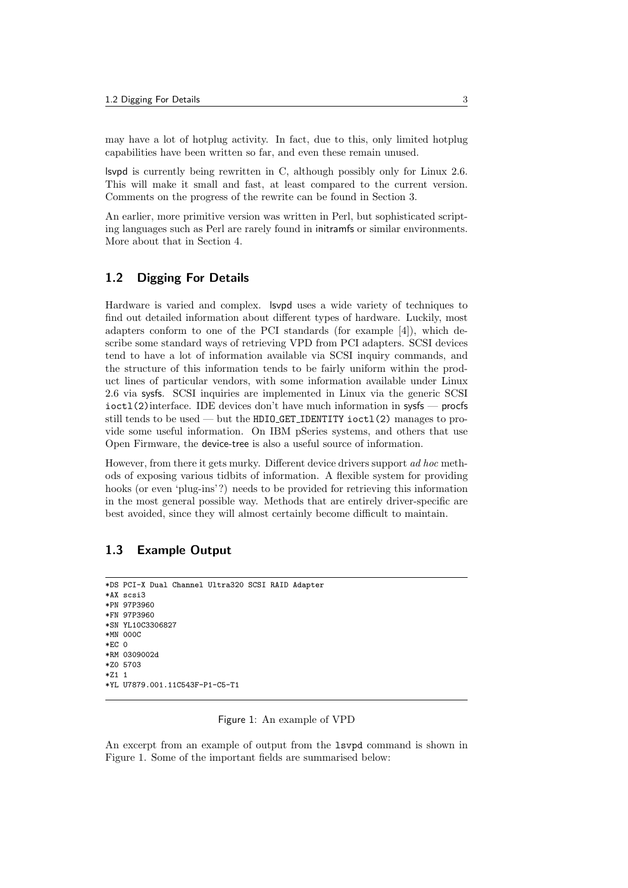may have a lot of hotplug activity. In fact, due to this, only limited hotplug capabilities have been written so far, and even these remain unused.

lsvpd is currently being rewritten in C, although possibly only for Linux 2.6. This will make it small and fast, at least compared to the current version. Comments on the progress of the rewrite can be found in Section 3.

An earlier, more primitive version was written in Perl, but sophisticated scripting languages such as Perl are rarely found in initramfs or similar environments. More about that in Section 4.

### 1.2 Digging For Details

Hardware is varied and complex. lsvpd uses a wide variety of techniques to find out detailed information about different types of hardware. Luckily, most adapters conform to one of the PCI standards (for example [4]), which describe some standard ways of retrieving VPD from PCI adapters. SCSI devices tend to have a lot of information available via SCSI inquiry commands, and the structure of this information tends to be fairly uniform within the product lines of particular vendors, with some information available under Linux 2.6 via sysfs. SCSI inquiries are implemented in Linux via the generic SCSI ioctl(2)interface. IDE devices don't have much information in sysfs — procfs still tends to be used — but the HDIO GET IDENTITY ioctl(2) manages to provide some useful information. On IBM pSeries systems, and others that use Open Firmware, the device-tree is also a useful source of information.

However, from there it gets murky. Different device drivers support ad hoc methods of exposing various tidbits of information. A flexible system for providing hooks (or even 'plug-ins'?) needs to be provided for retrieving this information in the most general possible way. Methods that are entirely driver-specific are best avoided, since they will almost certainly become difficult to maintain.

### 1.3 Example Output

```
*DS PCI-X Dual Channel Ultra320 SCSI RAID Adapter
*AX scsi3
*PN 97P3960
*FN 97P3960
*SN YL10C3306827
*MN 000C
*EC 0
*RM 0309002d
*Z0 5703
*Z1 1
*YL U7879.001.11C543F-P1-C5-T1
```
### Figure 1: An example of VPD

An excerpt from an example of output from the lsvpd command is shown in Figure 1. Some of the important fields are summarised below: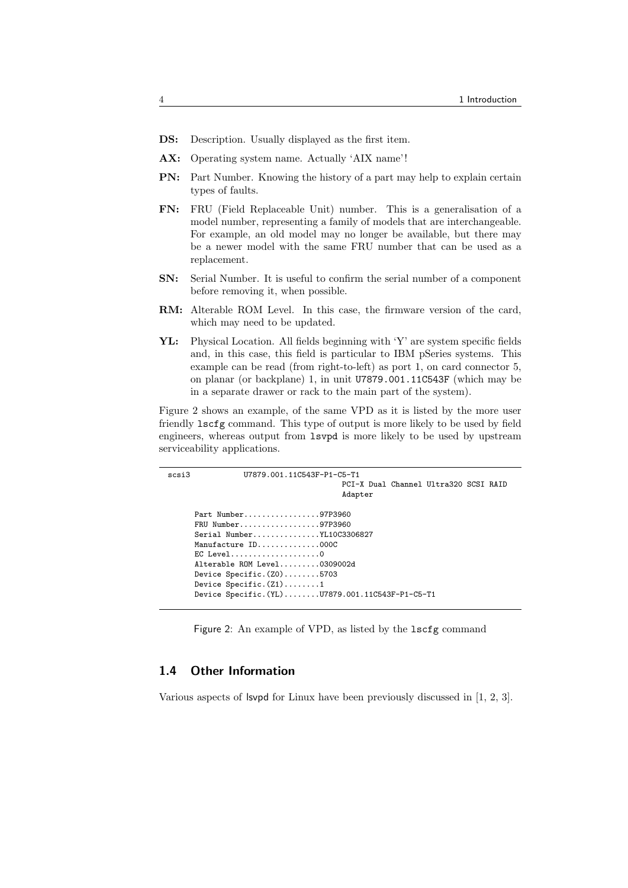- DS: Description. Usually displayed as the first item.
- AX: Operating system name. Actually 'AIX name'!
- PN: Part Number. Knowing the history of a part may help to explain certain types of faults.
- FN: FRU (Field Replaceable Unit) number. This is a generalisation of a model number, representing a family of models that are interchangeable. For example, an old model may no longer be available, but there may be a newer model with the same FRU number that can be used as a replacement.
- SN: Serial Number. It is useful to confirm the serial number of a component before removing it, when possible.
- RM: Alterable ROM Level. In this case, the firmware version of the card, which may need to be updated.
- YL: Physical Location. All fields beginning with 'Y' are system specific fields and, in this case, this field is particular to IBM pSeries systems. This example can be read (from right-to-left) as port 1, on card connector 5, on planar (or backplane) 1, in unit U7879.001.11C543F (which may be in a separate drawer or rack to the main part of the system).

Figure 2 shows an example, of the same VPD as it is listed by the more user friendly lscfg command. This type of output is more likely to be used by field engineers, whereas output from lsvpd is more likely to be used by upstream serviceability applications.

```
scsi3 U7879.001.11C543F-P1-C5-T1
                                      PCI-X Dual Channel Ultra320 SCSI RAID
                                      Adapter
     Part Number.................97P3960
     FRU Number..................97P3960
     Serial Number...............YL10C3306827
     Manufacture ID..............000C
     EC Level....................0
     Alterable ROM Level.........0309002d
     Device Specific.(Z0)........5703
     Device Specific.(Z1).......1
     Device Specific.(YL)........U7879.001.11C543F-P1-C5-T1
```
Figure 2: An example of VPD, as listed by the  $lscfg$  command

### 1.4 Other Information

Various aspects of lsvpd for Linux have been previously discussed in [1, 2, 3].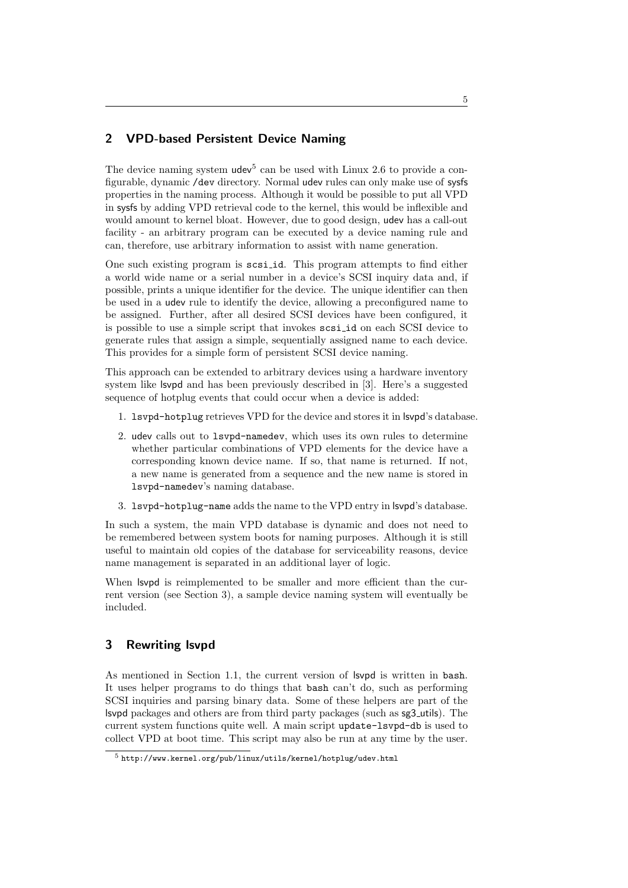### 2 VPD-based Persistent Device Naming

The device naming system  $udev<sup>5</sup>$  can be used with Linux 2.6 to provide a configurable, dynamic /dev directory. Normal udev rules can only make use of sysfs properties in the naming process. Although it would be possible to put all VPD in sysfs by adding VPD retrieval code to the kernel, this would be inflexible and would amount to kernel bloat. However, due to good design, udev has a call-out facility - an arbitrary program can be executed by a device naming rule and can, therefore, use arbitrary information to assist with name generation.

One such existing program is scsi id. This program attempts to find either a world wide name or a serial number in a device's SCSI inquiry data and, if possible, prints a unique identifier for the device. The unique identifier can then be used in a udev rule to identify the device, allowing a preconfigured name to be assigned. Further, after all desired SCSI devices have been configured, it is possible to use a simple script that invokes scsi id on each SCSI device to generate rules that assign a simple, sequentially assigned name to each device. This provides for a simple form of persistent SCSI device naming.

This approach can be extended to arbitrary devices using a hardware inventory system like lsvpd and has been previously described in [3]. Here's a suggested sequence of hotplug events that could occur when a device is added:

- 1. lsvpd-hotplug retrieves VPD for the device and stores it in lsvpd's database.
- 2. udev calls out to lsvpd-namedev, which uses its own rules to determine whether particular combinations of VPD elements for the device have a corresponding known device name. If so, that name is returned. If not, a new name is generated from a sequence and the new name is stored in lsvpd-namedev's naming database.
- 3. lsvpd-hotplug-name adds the name to the VPD entry in lsvpd's database.

In such a system, the main VPD database is dynamic and does not need to be remembered between system boots for naming purposes. Although it is still useful to maintain old copies of the database for serviceability reasons, device name management is separated in an additional layer of logic.

When lsvpd is reimplemented to be smaller and more efficient than the current version (see Section 3), a sample device naming system will eventually be included.

### 3 Rewriting lsvpd

As mentioned in Section 1.1, the current version of lsvpd is written in bash. It uses helper programs to do things that bash can't do, such as performing SCSI inquiries and parsing binary data. Some of these helpers are part of the lsvpd packages and others are from third party packages (such as sg3 utils). The current system functions quite well. A main script update-lsvpd-db is used to collect VPD at boot time. This script may also be run at any time by the user.

 $5$  http://www.kernel.org/pub/linux/utils/kernel/hotplug/udev.html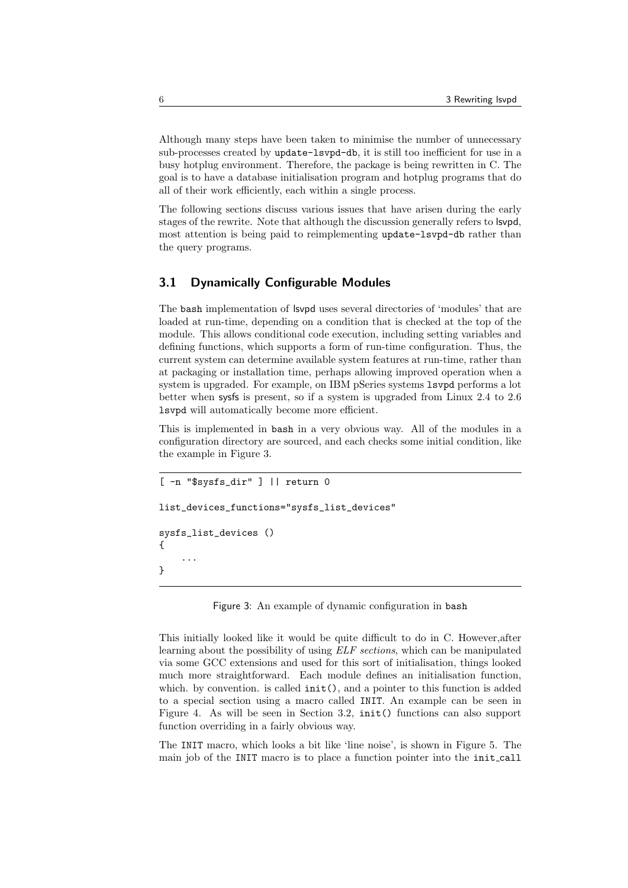Although many steps have been taken to minimise the number of unnecessary sub-processes created by update-lsvpd-db, it is still too inefficient for use in a busy hotplug environment. Therefore, the package is being rewritten in C. The goal is to have a database initialisation program and hotplug programs that do all of their work efficiently, each within a single process.

The following sections discuss various issues that have arisen during the early stages of the rewrite. Note that although the discussion generally refers to lsvpd, most attention is being paid to reimplementing update-lsvpd-db rather than the query programs.

### 3.1 Dynamically Configurable Modules

The bash implementation of lsvpd uses several directories of 'modules' that are loaded at run-time, depending on a condition that is checked at the top of the module. This allows conditional code execution, including setting variables and defining functions, which supports a form of run-time configuration. Thus, the current system can determine available system features at run-time, rather than at packaging or installation time, perhaps allowing improved operation when a system is upgraded. For example, on IBM pSeries systems lsvpd performs a lot better when sysfs is present, so if a system is upgraded from Linux 2.4 to 2.6 lsvpd will automatically become more efficient.

This is implemented in bash in a very obvious way. All of the modules in a configuration directory are sourced, and each checks some initial condition, like the example in Figure 3.

```
[ -n "$sysfs_dir" ] || return 0
list_devices_functions="sysfs_list_devices"
sysfs_list_devices ()
{
    ...
}
```
Figure 3: An example of dynamic configuration in bash

This initially looked like it would be quite difficult to do in C. However,after learning about the possibility of using ELF sections, which can be manipulated via some GCC extensions and used for this sort of initialisation, things looked much more straightforward. Each module defines an initialisation function, which. by convention. is called  $init()$ , and a pointer to this function is added to a special section using a macro called INIT. An example can be seen in Figure 4. As will be seen in Section 3.2, init() functions can also support function overriding in a fairly obvious way.

The INIT macro, which looks a bit like 'line noise', is shown in Figure 5. The main job of the INIT macro is to place a function pointer into the init call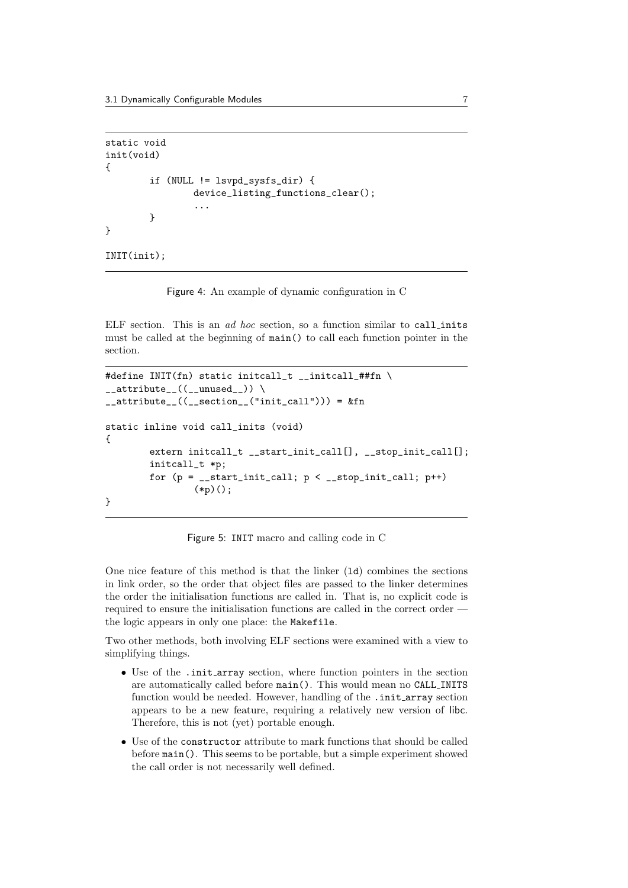```
static void
init(void)
{
        if (NULL != lsvpd_sysfs_dir) {
                device_listing_functions_clear();
                 ...
        }
}
INIT(init);
```
Figure 4: An example of dynamic configuration in C

ELF section. This is an ad hoc section, so a function similar to call inits must be called at the beginning of main() to call each function pointer in the section.

```
#define INIT(fn) static initcall_t __initcall_##fn \
_2_attribute<sub>--</sub>((__unused<sub>--</sub>)) \
_4_attribute__((_5ection__("init_call"))) = &fn
static inline void call_inits (void)
\mathcal{L}extern initcall_t __start_init_call[], __stop_init_call[];
         initcall_t *p;
         for (p = \_start\_init\_call; p \le \_stop\_init\_call; p++)(*p)();
}
```
Figure 5: INIT macro and calling code in C

One nice feature of this method is that the linker (ld) combines the sections in link order, so the order that object files are passed to the linker determines the order the initialisation functions are called in. That is, no explicit code is required to ensure the initialisation functions are called in the correct order the logic appears in only one place: the Makefile.

Two other methods, both involving ELF sections were examined with a view to simplifying things.

- Use of the .init array section, where function pointers in the section are automatically called before main(). This would mean no CALL INITS function would be needed. However, handling of the .init array section appears to be a new feature, requiring a relatively new version of libc. Therefore, this is not (yet) portable enough.
- Use of the constructor attribute to mark functions that should be called before main(). This seems to be portable, but a simple experiment showed the call order is not necessarily well defined.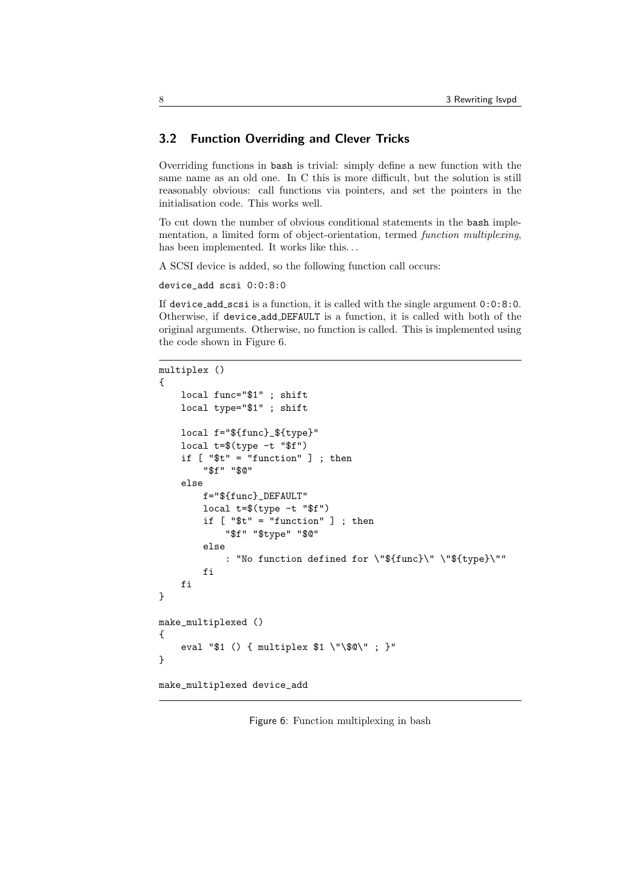### 3.2 Function Overriding and Clever Tricks

Overriding functions in bash is trivial: simply define a new function with the same name as an old one. In C this is more difficult, but the solution is still reasonably obvious: call functions via pointers, and set the pointers in the initialisation code. This works well.

To cut down the number of obvious conditional statements in the bash implementation, a limited form of object-orientation, termed function multiplexing, has been implemented. It works like this...

A SCSI device is added, so the following function call occurs:

```
device_add scsi 0:0:8:0
```
If device add scsi is a function, it is called with the single argument 0:0:8:0. Otherwise, if device add DEFAULT is a function, it is called with both of the original arguments. Otherwise, no function is called. This is implemented using the code shown in Figure 6.

```
multiplex ()
{
    local func="$1" ; shift
    local type="$1" ; shift
    local f="${func}_${type}"
    local t=$(type -t "$f")
    if [ "$t" = "function" ] ; then
        "$f" "$@"
    else
        f="${func}_DEFAULT"
        local t=$(type -t "$f")
        if [ "t" = "function" ]; then
            "$f" "$type" "$@"
        else
            : "No function defined for \"${func}\" \"${type}\""
        fi
    fi
}
make_multiplexed ()
{
    eval "$1 () { multiplex $1 \"\$@\" ; }"
}
make_multiplexed device_add
```
Figure 6: Function multiplexing in bash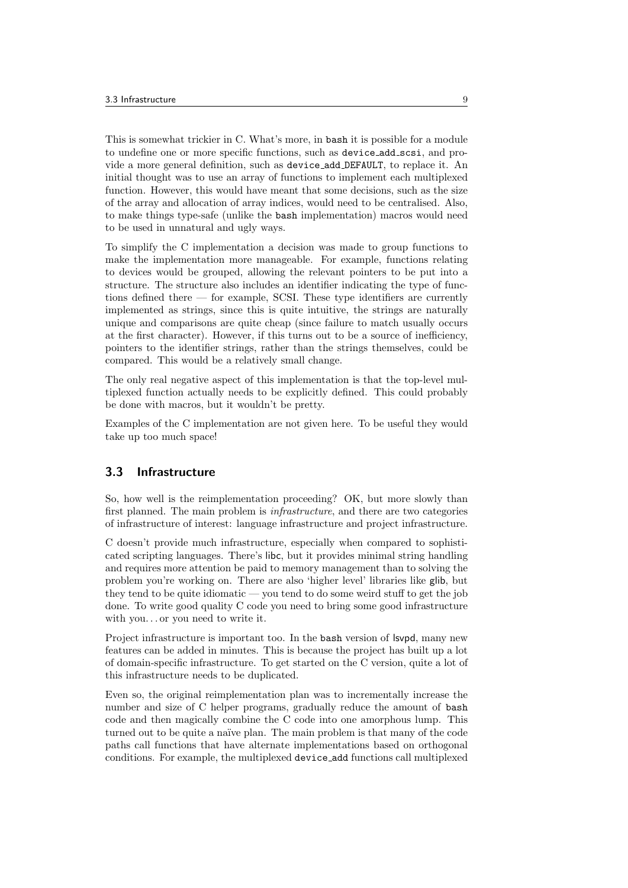This is somewhat trickier in C. What's more, in bash it is possible for a module to undefine one or more specific functions, such as device add scsi, and provide a more general definition, such as device add DEFAULT, to replace it. An initial thought was to use an array of functions to implement each multiplexed function. However, this would have meant that some decisions, such as the size of the array and allocation of array indices, would need to be centralised. Also, to make things type-safe (unlike the bash implementation) macros would need to be used in unnatural and ugly ways.

To simplify the C implementation a decision was made to group functions to make the implementation more manageable. For example, functions relating to devices would be grouped, allowing the relevant pointers to be put into a structure. The structure also includes an identifier indicating the type of functions defined there — for example, SCSI. These type identifiers are currently implemented as strings, since this is quite intuitive, the strings are naturally unique and comparisons are quite cheap (since failure to match usually occurs at the first character). However, if this turns out to be a source of inefficiency, pointers to the identifier strings, rather than the strings themselves, could be compared. This would be a relatively small change.

The only real negative aspect of this implementation is that the top-level multiplexed function actually needs to be explicitly defined. This could probably be done with macros, but it wouldn't be pretty.

Examples of the C implementation are not given here. To be useful they would take up too much space!

### 3.3 Infrastructure

So, how well is the reimplementation proceeding? OK, but more slowly than first planned. The main problem is infrastructure, and there are two categories of infrastructure of interest: language infrastructure and project infrastructure.

C doesn't provide much infrastructure, especially when compared to sophisticated scripting languages. There's libc, but it provides minimal string handling and requires more attention be paid to memory management than to solving the problem you're working on. There are also 'higher level' libraries like glib, but they tend to be quite idiomatic — you tend to do some weird stuff to get the job done. To write good quality C code you need to bring some good infrastructure with you. . . or you need to write it.

Project infrastructure is important too. In the bash version of lsvpd, many new features can be added in minutes. This is because the project has built up a lot of domain-specific infrastructure. To get started on the C version, quite a lot of this infrastructure needs to be duplicated.

Even so, the original reimplementation plan was to incrementally increase the number and size of C helper programs, gradually reduce the amount of bash code and then magically combine the C code into one amorphous lump. This turned out to be quite a naïve plan. The main problem is that many of the code paths call functions that have alternate implementations based on orthogonal conditions. For example, the multiplexed device add functions call multiplexed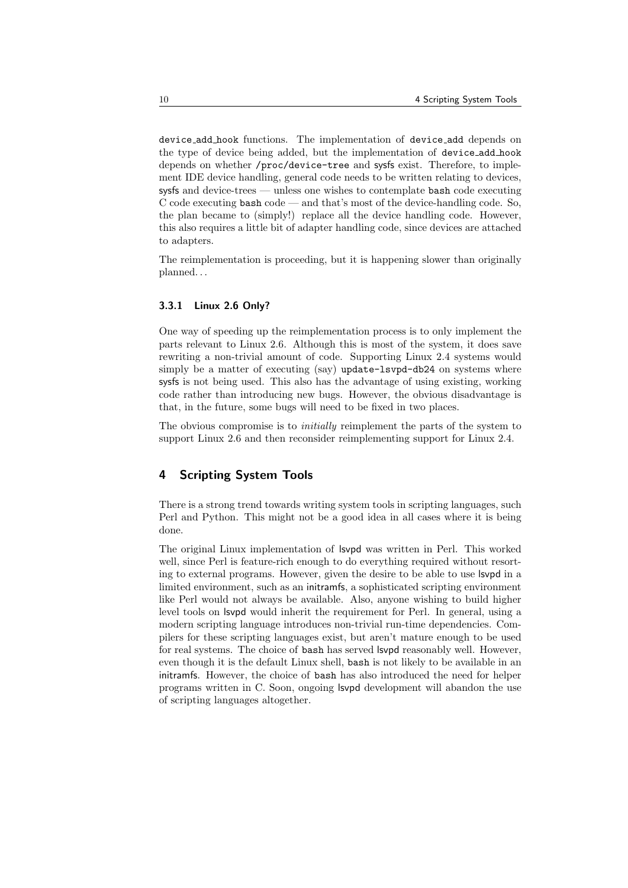device add hook functions. The implementation of device add depends on the type of device being added, but the implementation of device add hook depends on whether /proc/device-tree and sysfs exist. Therefore, to implement IDE device handling, general code needs to be written relating to devices, sysfs and device-trees — unless one wishes to contemplate bash code executing C code executing bash code — and that's most of the device-handling code. So, the plan became to (simply!) replace all the device handling code. However, this also requires a little bit of adapter handling code, since devices are attached to adapters.

The reimplementation is proceeding, but it is happening slower than originally planned. . .

#### 3.3.1 Linux 2.6 Only?

One way of speeding up the reimplementation process is to only implement the parts relevant to Linux 2.6. Although this is most of the system, it does save rewriting a non-trivial amount of code. Supporting Linux 2.4 systems would simply be a matter of executing (say) update-lsvpd-db24 on systems where sysfs is not being used. This also has the advantage of using existing, working code rather than introducing new bugs. However, the obvious disadvantage is that, in the future, some bugs will need to be fixed in two places.

The obvious compromise is to *initially* reimplement the parts of the system to support Linux 2.6 and then reconsider reimplementing support for Linux 2.4.

### 4 Scripting System Tools

There is a strong trend towards writing system tools in scripting languages, such Perl and Python. This might not be a good idea in all cases where it is being done.

The original Linux implementation of lsvpd was written in Perl. This worked well, since Perl is feature-rich enough to do everything required without resorting to external programs. However, given the desire to be able to use lsvpd in a limited environment, such as an initramfs, a sophisticated scripting environment like Perl would not always be available. Also, anyone wishing to build higher level tools on lsvpd would inherit the requirement for Perl. In general, using a modern scripting language introduces non-trivial run-time dependencies. Compilers for these scripting languages exist, but aren't mature enough to be used for real systems. The choice of bash has served lsvpd reasonably well. However, even though it is the default Linux shell, bash is not likely to be available in an initramfs. However, the choice of bash has also introduced the need for helper programs written in C. Soon, ongoing lsvpd development will abandon the use of scripting languages altogether.